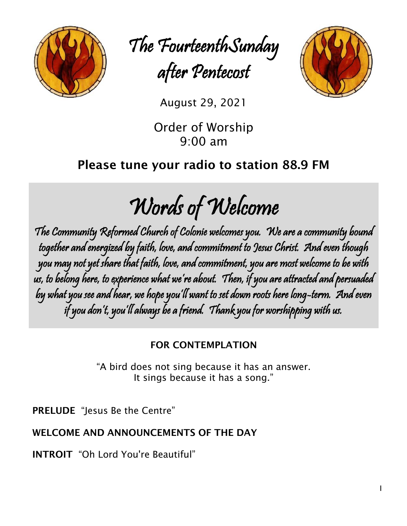

The FourteenthSunday after Pentecost



August 29, 2021

Order of Worship 9:00 am

# Please tune your radio to station 88.9 FM

Words of Welcome

The Community Reformed Church of Colonie welcomes you. We are a community bound together and energized by faith, love, and commitment to Jesus Christ. And even though you may not yet share that faith, love, and commitment, you are most welcome to be with us, to belong here, to experience what we're about. Then, if you are attracted and persuaded by what you see and hear, we hope you'll want to set down roots here long-term. And even if you don't, you'll always be a friend. Thank you for worshipping with us.

# FOR CONTEMPLATION

"A bird does not sing because it has an answer. It sings because it has a song."

PRELUDE "Jesus Be the Centre"

# WELCOME AND ANNOUNCEMENTS OF THE DAY

INTROIT "Oh Lord You're Beautiful"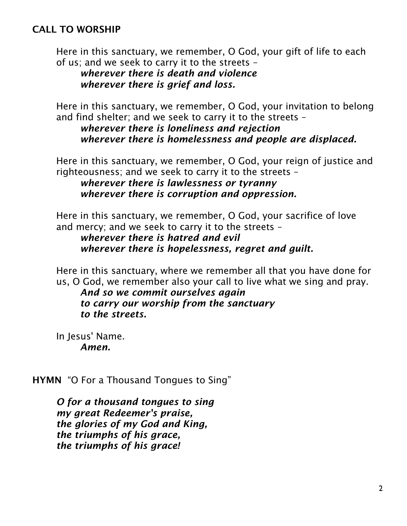### CALL TO WORSHIP

Here in this sanctuary, we remember, O God, your gift of life to each of us; and we seek to carry it to the streets –

*wherever there is death and violence wherever there is grief and loss.*

Here in this sanctuary, we remember, O God, your invitation to belong and find shelter; and we seek to carry it to the streets –

*wherever there is loneliness and rejection wherever there is homelessness and people are displaced.*

Here in this sanctuary, we remember, O God, your reign of justice and righteousness; and we seek to carry it to the streets –

*wherever there is lawlessness or tyranny wherever there is corruption and oppression.*

Here in this sanctuary, we remember, O God, your sacrifice of love and mercy; and we seek to carry it to the streets –

*wherever there is hatred and evil wherever there is hopelessness, regret and guilt.*

Here in this sanctuary, where we remember all that you have done for us, O God, we remember also your call to live what we sing and pray.

*And so we commit ourselves again to carry our worship from the sanctuary to the streets.*

In Jesus' Name. *Amen.*

HYMN "O For a Thousand Tongues to Sing"

*O for a thousand tongues to sing my great Redeemer's praise, the glories of my God and King, the triumphs of his grace, the triumphs of his grace!*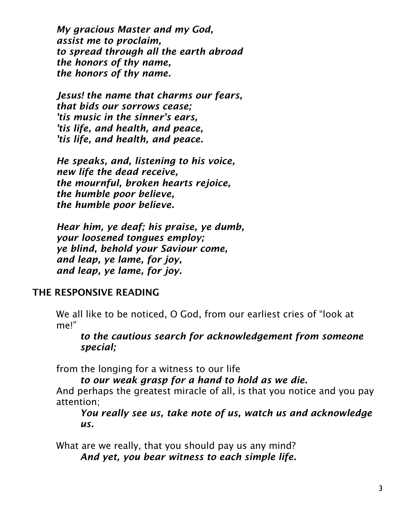*My gracious Master and my God, assist me to proclaim, to spread through all the earth abroad the honors of thy name, the honors of thy name.*

*Jesus! the name that charms our fears, that bids our sorrows cease; 'tis music in the sinner's ears, 'tis life, and health, and peace, 'tis life, and health, and peace.*

*He speaks, and, listening to his voice, new life the dead receive, the mournful, broken hearts rejoice, the humble poor believe, the humble poor believe.*

*Hear him, ye deaf; his praise, ye dumb, your loosened tongues employ; ye blind, behold your Saviour come, and leap, ye lame, for joy, and leap, ye lame, for joy.*

### THE RESPONSIVE READING

We all like to be noticed, O God, from our earliest cries of "look at me!"

*to the cautious search for acknowledgement from someone special;*

from the longing for a witness to our life

*to our weak grasp for a hand to hold as we die.*

And perhaps the greatest miracle of all, is that you notice and you pay attention;

*You really see us, take note of us, watch us and acknowledge us.*

What are we really, that you should pay us any mind? *And yet, you bear witness to each simple life.*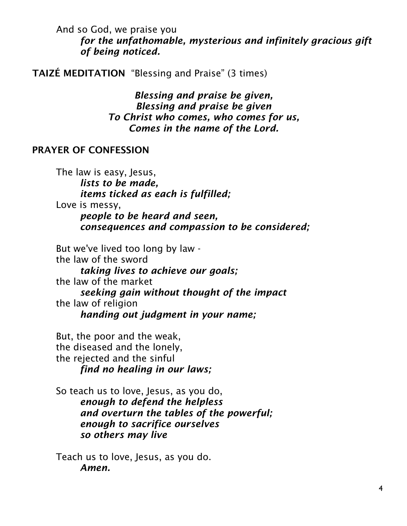And so God, we praise you *for the unfathomable, mysterious and infinitely gracious gift of being noticed.*

TAIZÉ MEDITATION "Blessing and Praise" (3 times)

*Blessing and praise be given, Blessing and praise be given To Christ who comes, who comes for us, Comes in the name of the Lord.*

#### PRAYER OF CONFESSION

The law is easy, Jesus, *lists to be made, items ticked as each is fulfilled;* Love is messy, *people to be heard and seen, consequences and compassion to be considered;*

But we've lived too long by law the law of the sword *taking lives to achieve our goals;* the law of the market *seeking gain without thought of the impact* the law of religion *handing out judgment in your name;*

But, the poor and the weak, the diseased and the lonely, the rejected and the sinful *find no healing in our laws;*

So teach us to love, Jesus, as you do, *enough to defend the helpless and overturn the tables of the powerful; enough to sacrifice ourselves so others may live*

Teach us to love, Jesus, as you do. *Amen.*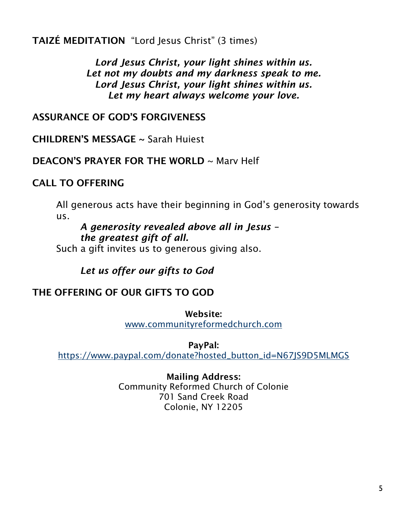TAIZÉ MEDITATION "Lord Jesus Christ" (3 times)

*Lord Jesus Christ, your light shines within us. Let not my doubts and my darkness speak to me. Lord Jesus Christ, your light shines within us. Let my heart always welcome your love.*

### ASSURANCE OF GOD'S FORGIVENESS

CHILDREN'S MESSAGE ~ Sarah Huiest

### DEACON'S PRAYER FOR THE WORLD ~ Mary Helf

# CALL TO OFFERING

All generous acts have their beginning in God's generosity towards us.

*A generosity revealed above all in Jesus – the greatest gift of all.*

Such a gift invites us to generous giving also.

*Let us offer our gifts to God*

# THE OFFERING OF OUR GIFTS TO GOD

Website:

[www.communityreformedchurch.com](http://www.communityreformedchurch.com/)

PayPal:

[https://www.paypal.com/donate?hosted\\_button\\_id=N67JS9D5MLMGS](https://www.paypal.com/donate?hosted_button_id=N67JS9D5MLMGS)

### Mailing Address:

Community Reformed Church of Colonie 701 Sand Creek Road Colonie, NY 12205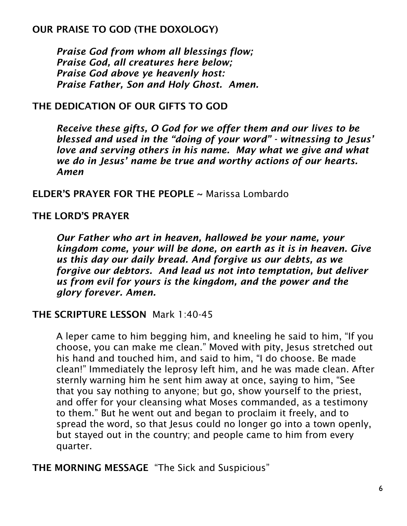# OUR PRAISE TO GOD (THE DOXOLOGY)

*Praise God from whom all blessings flow; Praise God, all creatures here below; Praise God above ye heavenly host: Praise Father, Son and Holy Ghost. Amen.*

### THE DEDICATION OF OUR GIFTS TO GOD

*Receive these gifts, O God for we offer them and our lives to be blessed and used in the "doing of your word" - witnessing to Jesus' love and serving others in his name. May what we give and what we do in Jesus' name be true and worthy actions of our hearts. Amen*

### ELDER'S PRAYER FOR THE PEOPLE ~ Marissa Lombardo

### THE LORD'S PRAYER

*Our Father who art in heaven, hallowed be your name, your kingdom come, your will be done, on earth as it is in heaven. Give us this day our daily bread. And forgive us our debts, as we forgive our debtors. And lead us not into temptation, but deliver us from evil for yours is the kingdom, and the power and the glory forever. Amen.*

### THE SCRIPTURE LESSON Mark 1:40-45

A leper came to him begging him, and kneeling he said to him, "If you choose, you can make me clean." Moved with pity, Jesus stretched out his hand and touched him, and said to him, "I do choose. Be made clean!" Immediately the leprosy left him, and he was made clean. After sternly warning him he sent him away at once, saying to him, "See that you say nothing to anyone; but go, show yourself to the priest, and offer for your cleansing what Moses commanded, as a testimony to them." But he went out and began to proclaim it freely, and to spread the word, so that Jesus could no longer go into a town openly, but stayed out in the country; and people came to him from every quarter.

THE MORNING MESSAGE "The Sick and Suspicious"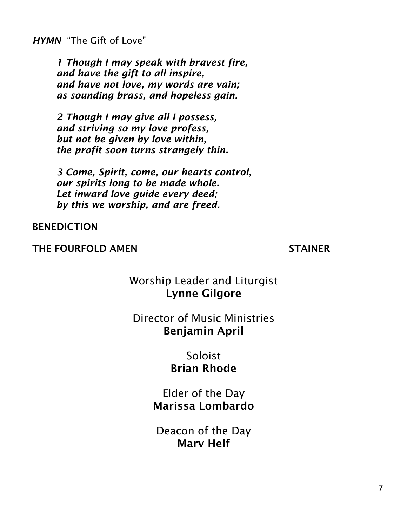*HYMN* "The Gift of Love"

*1 Though I may speak with bravest fire, and have the gift to all inspire, and have not love, my words are vain; as sounding brass, and hopeless gain.*

*2 Though I may give all I possess, and striving so my love profess, but not be given by love within, the profit soon turns strangely thin.*

*3 Come, Spirit, come, our hearts control, our spirits long to be made whole. Let inward love guide every deed; by this we worship, and are freed.*

BENEDICTION

### THE FOURFOLD AMEN STAINER

# Worship Leader and Liturgist Lynne Gilgore

# Director of Music Ministries Benjamin April

# Soloist Brian Rhode

Elder of the Day Marissa Lombardo

Deacon of the Day Marv Helf